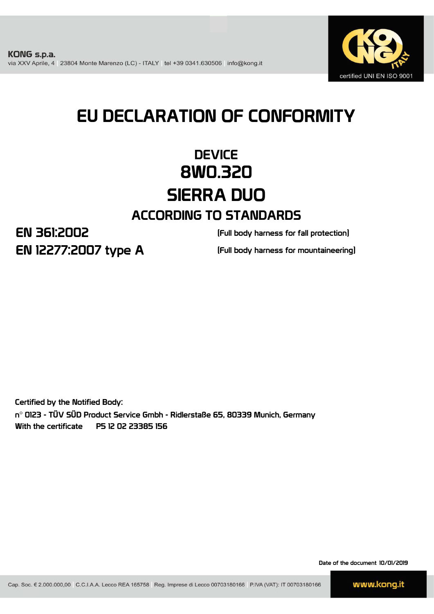

# EU DECLARATION OF CONFORMITY

## **DEVICE** 8W0.320 SIERRA DUO ACCORDING TO STANDARDS

EN 361:2002 EN 12277:2007 type A

(Full body harness for fall protection)

(Full body harness for mountaineering)

Certified by the Notified Body: n° 0123 - TÜV SÜD Product Service Gmbh - Ridlerstaße 65, 80339 Munich, Germany With the certificate P5 12 02 23385 156

Date of the document 10/01/2019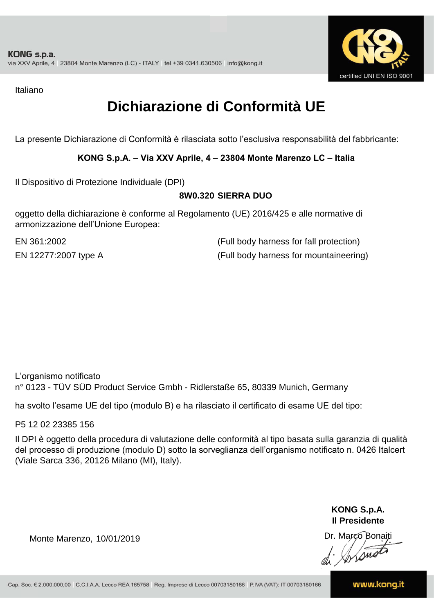

Italiano

## **Dichiarazione di Conformità UE**

La presente Dichiarazione di Conformità è rilasciata sotto l'esclusiva responsabilità del fabbricante:

### **KONG S.p.A. – Via XXV Aprile, 4 – 23804 Monte Marenzo LC – Italia**

Il Dispositivo di Protezione Individuale (DPI)

### **8W0.320 SIERRA DUO**

oggetto della dichiarazione è conforme al Regolamento (UE) 2016/425 e alle normative di armonizzazione dell'Unione Europea:

EN 361:2002

(Full body harness for fall protection) EN 12277:2007 type A (Full body harness for mountaineering)

L'organismo notificato n° 0123 - TÜV SÜD Product Service Gmbh - Ridlerstaße 65, 80339 Munich, Germany

ha svolto l'esame UE del tipo (modulo B) e ha rilasciato il certificato di esame UE del tipo:

P5 12 02 23385 156

Il DPI è oggetto della procedura di valutazione delle conformità al tipo basata sulla garanzia di qualità del processo di produzione (modulo D) sotto la sorveglianza dell'organismo notificato n. 0426 Italcert (Viale Sarca 336, 20126 Milano (MI), Italy).

> **KONG S.p.A. Il Presidente**

Monte Marenzo, 10/01/2019<br>
Monte Marenzo, 10/01/2019<br>
A Marco Bonaiti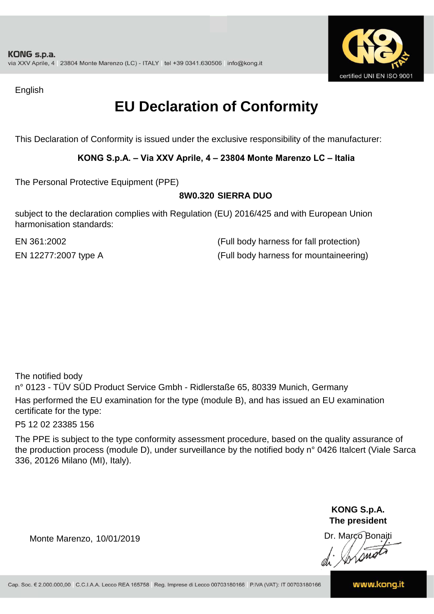

English

## **EU Declaration of Conformity**

This Declaration of Conformity is issued under the exclusive responsibility of the manufacturer:

### **KONG S.p.A. – Via XXV Aprile, 4 – 23804 Monte Marenzo LC – Italia**

The Personal Protective Equipment (PPE)

### **8W0.320 SIERRA DUO**

subject to the declaration complies with Regulation (EU) 2016/425 and with European Union harmonisation standards:

EN 12277:2007 type A (Full body harness for mountaineering) EN 361:2002 (Full body harness for fall protection)

The notified body

n° 0123 - TÜV SÜD Product Service Gmbh - Ridlerstaße 65, 80339 Munich, Germany Has performed the EU examination for the type (module B), and has issued an EU examination certificate for the type:

P5 12 02 23385 156

The PPE is subject to the type conformity assessment procedure, based on the quality assurance of the production process (module D), under surveillance by the notified body n° 0426 Italcert (Viale Sarca 336, 20126 Milano (MI), Italy).

> **KONG S.p.A. The president**

Dr. Marco Bonaiti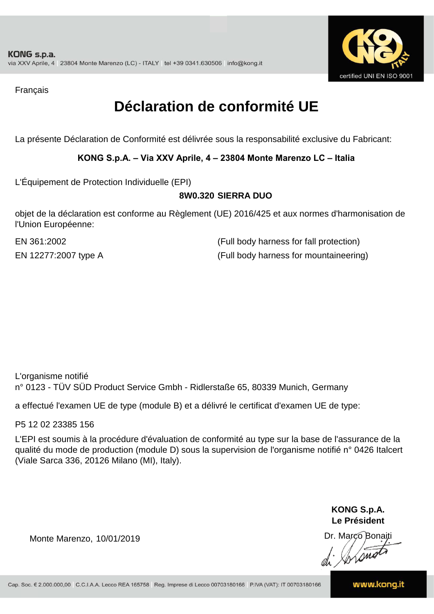

Français

## **Déclaration de conformité UE**

La présente Déclaration de Conformité est délivrée sous la responsabilité exclusive du Fabricant:

### **KONG S.p.A. – Via XXV Aprile, 4 – 23804 Monte Marenzo LC – Italia**

L'Équipement de Protection Individuelle (EPI)

### **8W0.320 SIERRA DUO**

objet de la déclaration est conforme au Règlement (UE) 2016/425 et aux normes d'harmonisation de l'Union Européenne:

EN 12277:2007 type A (Full body harness for mountaineering) EN 361:2002 (Full body harness for fall protection)

L'organisme notifié n° 0123 - TÜV SÜD Product Service Gmbh - Ridlerstaße 65, 80339 Munich, Germany

a effectué l'examen UE de type (module B) et a délivré le certificat d'examen UE de type:

P5 12 02 23385 156

L'EPI est soumis à la procédure d'évaluation de conformité au type sur la base de l'assurance de la qualité du mode de production (module D) sous la supervision de l'organisme notifié n° 0426 Italcert (Viale Sarca 336, 20126 Milano (MI), Italy).

> **KONG S.p.A. Le Président**

Dr. Marco Bonaiti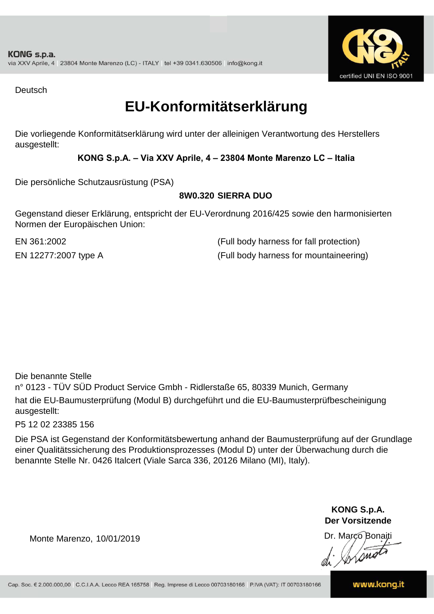![](_page_4_Picture_1.jpeg)

Deutsch

### **EU-Konformitätserklärung**

Die vorliegende Konformitätserklärung wird unter der alleinigen Verantwortung des Herstellers ausgestellt:

### **KONG S.p.A. – Via XXV Aprile, 4 – 23804 Monte Marenzo LC – Italia**

Die persönliche Schutzausrüstung (PSA)

### **8W0.320 SIERRA DUO**

Gegenstand dieser Erklärung, entspricht der EU-Verordnung 2016/425 sowie den harmonisierten Normen der Europäischen Union:

EN 12277:2007 type A (Full body harness for mountaineering) EN 361:2002 (Full body harness for fall protection)

Die benannte Stelle

n° 0123 - TÜV SÜD Product Service Gmbh - Ridlerstaße 65, 80339 Munich, Germany hat die EU-Baumusterprüfung (Modul B) durchgeführt und die EU-Baumusterprüfbescheinigung ausgestellt:

P5 12 02 23385 156

Die PSA ist Gegenstand der Konformitätsbewertung anhand der Baumusterprüfung auf der Grundlage einer Qualitätssicherung des Produktionsprozesses (Modul D) unter der Überwachung durch die benannte Stelle Nr. 0426 Italcert (Viale Sarca 336, 20126 Milano (MI), Italy).

> **KONG S.p.A. Der Vorsitzende**

Dr. Marco Bonaiti

Monte Marenzo, 10/01/2019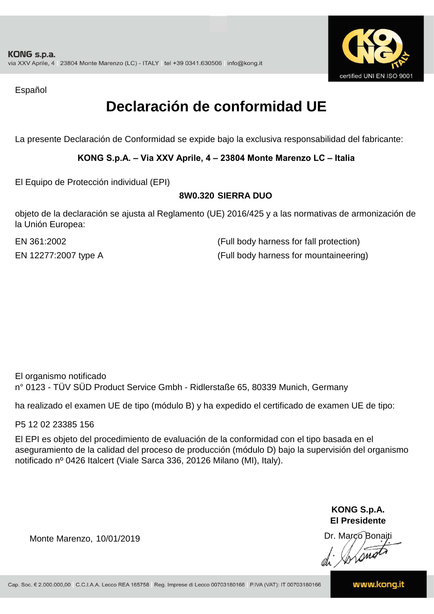![](_page_5_Picture_1.jpeg)

Español

## **Declaración de conformidad UE**

La presente Declaración de Conformidad se expide bajo la exclusiva responsabilidad del fabricante:

### **KONG S.p.A. – Via XXV Aprile, 4 – 23804 Monte Marenzo LC – Italia**

El Equipo de Protección individual (EPI)

### **8W0.320 SIERRA DUO**

objeto de la declaración se ajusta al Reglamento (UE) 2016/425 y a las normativas de armonización de la Unión Europea:

EN 361:2002

(Full body harness for fall protection) EN 12277:2007 type A (Full body harness for mountaineering)

El organismo notificado n° 0123 - TÜV SÜD Product Service Gmbh - Ridlerstaße 65, 80339 Munich, Germany

ha realizado el examen UE de tipo (módulo B) y ha expedido el certificado de examen UE de tipo:

P5 12 02 23385 156

El EPI es objeto del procedimiento de evaluación de la conformidad con el tipo basada en el aseguramiento de la calidad del proceso de producción (módulo D) bajo la supervisión del organismo notificado nº 0426 Italcert (Viale Sarca 336, 20126 Milano (MI), Italy).

> **KONG S.p.A. El Presidente**

Dr. Marco Bonaiti di Aromor

Monte Marenzo, 10/01/2019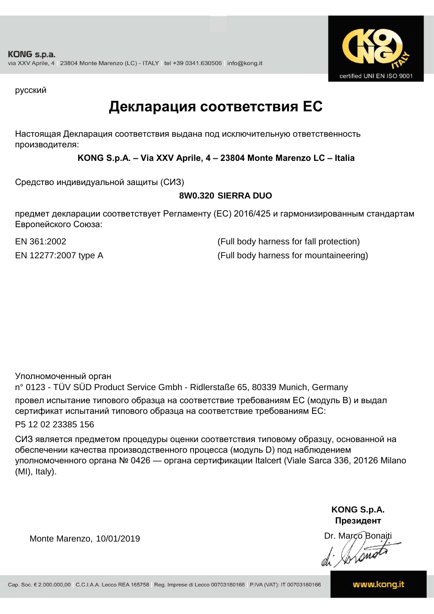![](_page_6_Picture_1.jpeg)

русский

### **Декларация соответствия ЕС**

Настоящая Декларация соответствия выдана под исключительную ответственность производителя:

**KONG S.p.A. – Via XXV Aprile, 4 – 23804 Monte Marenzo LC – Italia**

Средство индивидуальной защиты (СИЗ)

### **8W0.320 SIERRA DUO**

предмет декларации соответствует Регламенту (ЕС) 2016/425 и гармонизированным стандартам Европейского Союза:

EN 361:2002 (Full body harness for fall protection) EN 12277:2007 type A (Full body harness for mountaineering)

Уполномоченный орган

n° 0123 - TÜV SÜD Product Service Gmbh - Ridlerstaße 65, 80339 Munich, Germany провел испытание типового образца на соответствие требованиям ЕС (модуль B) и выдал сертификат испытаний типового образца на соответствие требованиям ЕС:

P5 12 02 23385 156

СИЗ является предметом процедуры оценки соответствия типовому образцу, основанной на обеспечении качества производственного процесса (модуль D) под наблюдением уполномоченного органа № 0426 — органа сертификации Italcert (Viale Sarca 336, 20126 Milano (MI), Italy).

> **KONG S.p.A. Президент**

Dr. Marco Bonaiti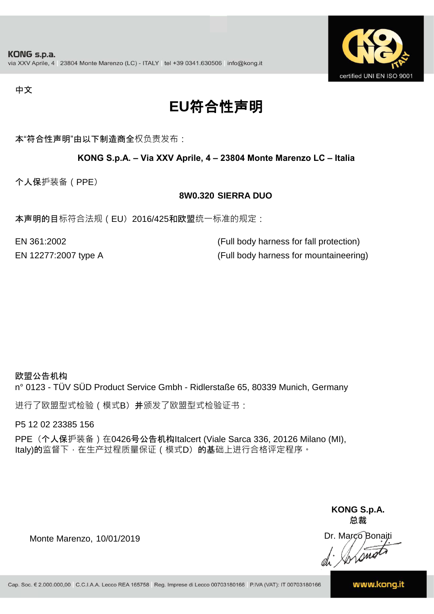![](_page_7_Picture_1.jpeg)

#### 中文

## **EU**符合性声明

本"符合性声明"由以下制造商全权负责发布:

### **KONG S.p.A. – Via XXV Aprile, 4 – 23804 Monte Marenzo LC – Italia**

个人保护装备(PPE)

#### **8W0.320 SIERRA DUO**

本声明的目标符合法规(EU) 2016/425和欧盟统一标准的规定:

EN 12277:2007 type A (Full body harness for mountaineering) EN 361:2002 (Full body harness for fall protection)

#### 欧盟公告机构

n° 0123 - TÜV SÜD Product Service Gmbh - Ridlerstaße 65, 80339 Munich, Germany

进行了欧盟型式检验(模式B) 并颁发了欧盟型式检验证书:

P5 12 02 23385 156

PPE (个人保护装备) 在0426号公告机构Italcert (Viale Sarca 336, 20126 Milano (MI), Italy)的监督下, 在生产过程质量保证 ( 模式D) 的基础上进行合格评定程序。

> **KONG S.p.A. 总裁**

Dr. Marco Bonaiti di Stono

Monte Marenzo, 10/01/2019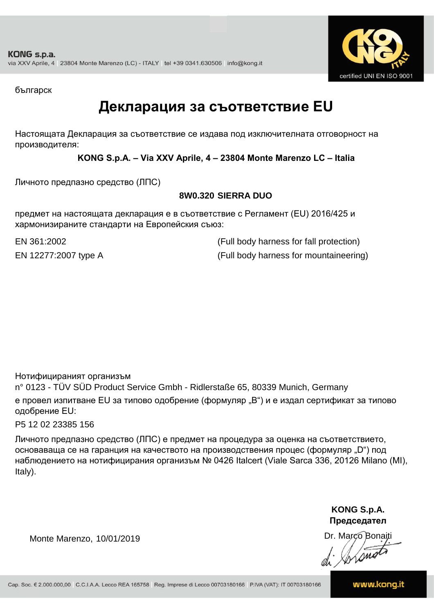![](_page_8_Picture_1.jpeg)

българск

### **Декларация за съответствие EU**

Настоящата Декларация за съответствие се издава под изключителната отговорност на производителя:

**KONG S.p.A. – Via XXV Aprile, 4 – 23804 Monte Marenzo LC – Italia**

Личното предпазно средство (ЛПС)

### **8W0.320 SIERRA DUO**

предмет на настоящата декларация е в съответствие с Регламент (ЕU) 2016/425 и хармонизираните стандарти на Европейския съюз:

EN 361:2002 (Full body harness for fall protection) EN 12277:2007 type A (Full body harness for mountaineering)

Нотифицираният организъм

n° 0123 - TÜV SÜD Product Service Gmbh - Ridlerstaße 65, 80339 Munich, Germany е провел изпитване EU за типово одобрение (формуляр "B") и е издал сертификат за типово одобрение ЕU:

P5 12 02 23385 156

Личното предпазно средство (ЛПС) е предмет на процедура за оценка на съответствието, основаваща се на гаранция на качеството на производствения процес (формуляр "D") под наблюдението на нотифицирания организъм № 0426 Italcert (Viale Sarca 336, 20126 Milano (MI), Italy).

> **KONG S.p.A. Председател**

Dr. Marco Bonaiti di Arono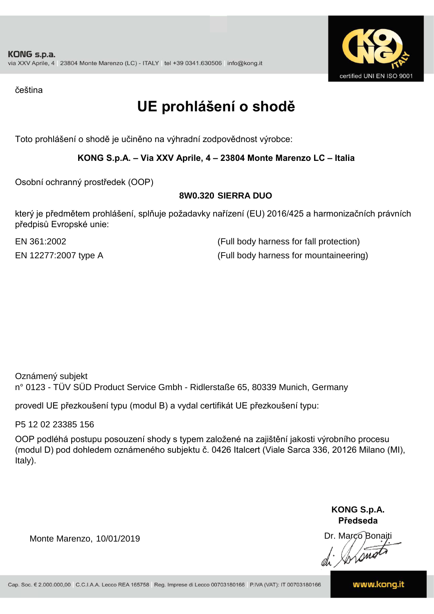![](_page_9_Picture_1.jpeg)

čeština

## **UE prohlášení o shodě**

Toto prohlášení o shodě je učiněno na výhradní zodpovědnost výrobce:

### **KONG S.p.A. – Via XXV Aprile, 4 – 23804 Monte Marenzo LC – Italia**

Osobní ochranný prostředek (OOP)

### **8W0.320 SIERRA DUO**

který je předmětem prohlášení, splňuje požadavky nařízení (EU) 2016/425 a harmonizačních právních předpisů Evropské unie:

EN 12277:2007 type A (Full body harness for mountaineering) EN 361:2002 (Full body harness for fall protection)

Oznámený subjekt n° 0123 - TÜV SÜD Product Service Gmbh - Ridlerstaße 65, 80339 Munich, Germany

provedl UE přezkoušení typu (modul B) a vydal certifikát UE přezkoušení typu:

P5 12 02 23385 156

OOP podléhá postupu posouzení shody s typem založené na zajištění jakosti výrobního procesu (modul D) pod dohledem oznámeného subjektu č. 0426 Italcert (Viale Sarca 336, 20126 Milano (MI), Italy).

> **KONG S.p.A. Předseda**

Dr. Marco Bonaiti di Simon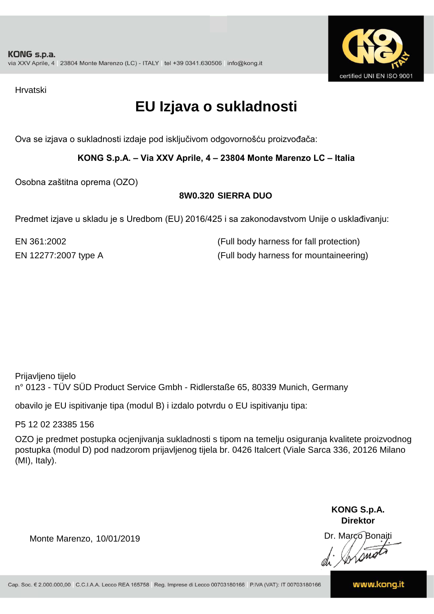![](_page_10_Picture_1.jpeg)

Hrvatski

## **EU Izjava o sukladnosti**

Ova se izjava o sukladnosti izdaje pod isključivom odgovornošću proizvođača:

**KONG S.p.A. – Via XXV Aprile, 4 – 23804 Monte Marenzo LC – Italia**

Osobna zaštitna oprema (OZO)

### **8W0.320 SIERRA DUO**

Predmet izjave u skladu je s Uredbom (EU) 2016/425 i sa zakonodavstvom Unije o usklađivanju:

EN 361:2002 (Full body harness for fall protection) EN 12277:2007 type A (Full body harness for mountaineering)

Prijavljeno tijelo n° 0123 - TÜV SÜD Product Service Gmbh - Ridlerstaße 65, 80339 Munich, Germany

obavilo je EU ispitivanje tipa (modul B) i izdalo potvrdu o EU ispitivanju tipa:

P5 12 02 23385 156

OZO je predmet postupka ocjenjivanja sukladnosti s tipom na temelju osiguranja kvalitete proizvodnog postupka (modul D) pod nadzorom prijavljenog tijela br. 0426 Italcert (Viale Sarca 336, 20126 Milano (MI), Italy).

> **KONG S.p.A. Direktor**

Dr. Marco Bonaiti

Monte Marenzo, 10/01/2019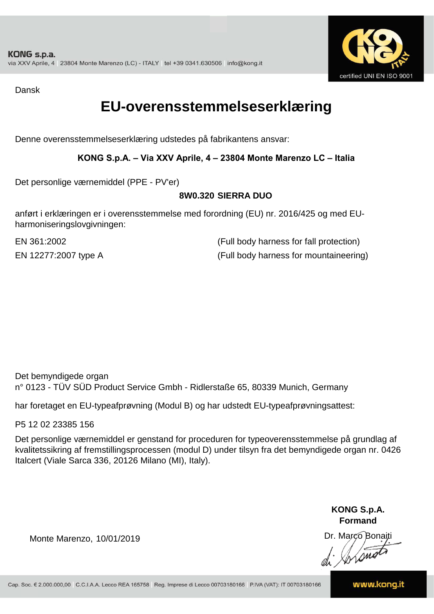![](_page_11_Picture_1.jpeg)

Dansk

### **EU-overensstemmelseserklæring**

Denne overensstemmelseserklæring udstedes på fabrikantens ansvar:

### **KONG S.p.A. – Via XXV Aprile, 4 – 23804 Monte Marenzo LC – Italia**

Det personlige værnemiddel (PPE - PV'er)

### **8W0.320 SIERRA DUO**

anført i erklæringen er i overensstemmelse med forordning (EU) nr. 2016/425 og med EUharmoniseringslovgivningen:

EN 12277:2007 type A (Full body harness for mountaineering) EN 361:2002 (Full body harness for fall protection)

Det bemyndigede organ n° 0123 - TÜV SÜD Product Service Gmbh - Ridlerstaße 65, 80339 Munich, Germany

har foretaget en EU-typeafprøvning (Modul B) og har udstedt EU-typeafprøvningsattest:

P5 12 02 23385 156

Det personlige værnemiddel er genstand for proceduren for typeoverensstemmelse på grundlag af kvalitetssikring af fremstillingsprocessen (modul D) under tilsyn fra det bemyndigede organ nr. 0426 Italcert (Viale Sarca 336, 20126 Milano (MI), Italy).

> **KONG S.p.A. Formand**

Dr. Marco Bonaiti di Aromor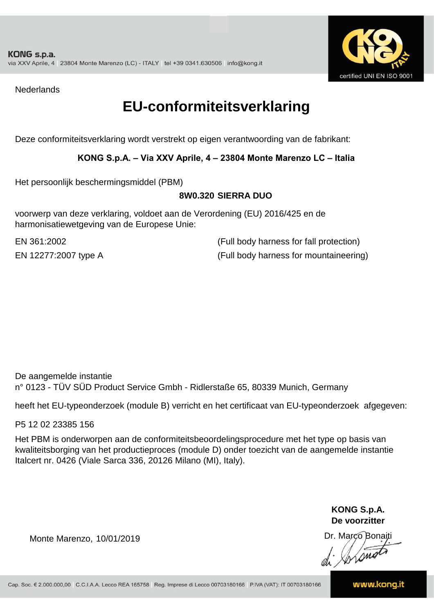![](_page_12_Picture_1.jpeg)

**Nederlands** 

### **EU-conformiteitsverklaring**

Deze conformiteitsverklaring wordt verstrekt op eigen verantwoording van de fabrikant:

### **KONG S.p.A. – Via XXV Aprile, 4 – 23804 Monte Marenzo LC – Italia**

Het persoonlijk beschermingsmiddel (PBM)

### **8W0.320 SIERRA DUO**

voorwerp van deze verklaring, voldoet aan de Verordening (EU) 2016/425 en de harmonisatiewetgeving van de Europese Unie:

EN 361:2002 (Full body harness for fall protection) EN 12277:2007 type A (Full body harness for mountaineering)

De aangemelde instantie n° 0123 - TÜV SÜD Product Service Gmbh - Ridlerstaße 65, 80339 Munich, Germany

heeft het EU-typeonderzoek (module B) verricht en het certificaat van EU-typeonderzoek afgegeven:

P5 12 02 23385 156

Het PBM is onderworpen aan de conformiteitsbeoordelingsprocedure met het type op basis van kwaliteitsborging van het productieproces (module D) onder toezicht van de aangemelde instantie Italcert nr. 0426 (Viale Sarca 336, 20126 Milano (MI), Italy).

> **KONG S.p.A. De voorzitter**

Dr. Marco Bonaiti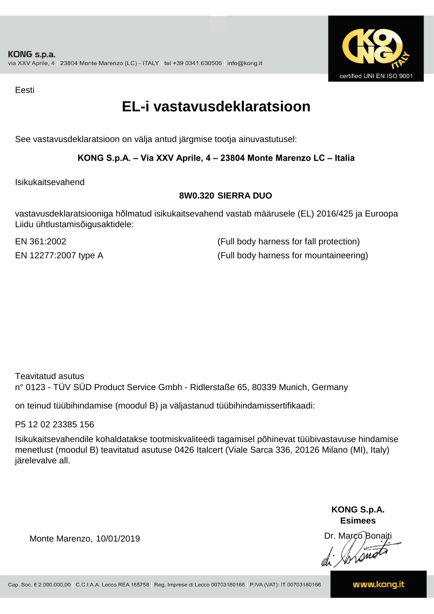![](_page_13_Picture_1.jpeg)

Eesti

### **EL-i vastavusdeklaratsioon**

See vastavusdeklaratsioon on välja antud järgmise tootja ainuvastutusel:

### **KONG S.p.A. – Via XXV Aprile, 4 – 23804 Monte Marenzo LC – Italia**

Isikukaitsevahend

### **8W0.320 SIERRA DUO**

vastavusdeklaratsiooniga hõlmatud isikukaitsevahend vastab määrusele (EL) 2016/425 ja Euroopa Liidu ühtlustamisõigusaktidele:

EN 12277:2007 type A (Full body harness for mountaineering) EN 361:2002 (Full body harness for fall protection)

Teavitatud asutus n° 0123 - TÜV SÜD Product Service Gmbh - Ridlerstaße 65, 80339 Munich, Germany

on teinud tüübihindamise (moodul B) ja väljastanud tüübihindamissertifikaadi:

P5 12 02 23385 156

Isikukaitsevahendile kohaldatakse tootmiskvaliteedi tagamisel põhinevat tüübivastavuse hindamise menetlust (moodul B) teavitatud asutuse 0426 Italcert (Viale Sarca 336, 20126 Milano (MI), Italy) järelevalve all.

> **KONG S.p.A. Esimees**

Dr. Marco Bonaiti di Stono

Monte Marenzo, 10/01/2019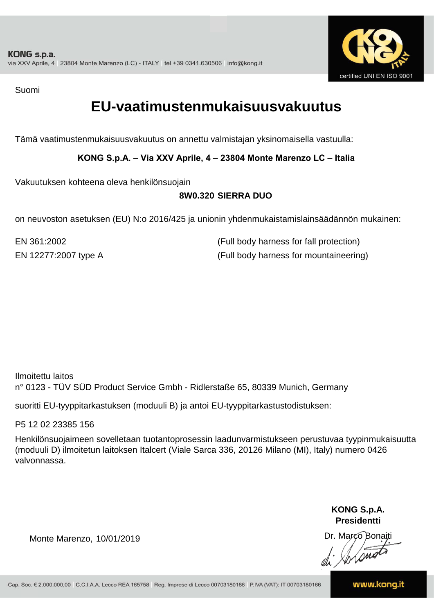![](_page_14_Picture_1.jpeg)

Suomi

### **EU-vaatimustenmukaisuusvakuutus**

Tämä vaatimustenmukaisuusvakuutus on annettu valmistajan yksinomaisella vastuulla:

**KONG S.p.A. – Via XXV Aprile, 4 – 23804 Monte Marenzo LC – Italia**

Vakuutuksen kohteena oleva henkilönsuojain

### **8W0.320 SIERRA DUO**

on neuvoston asetuksen (EU) N:o 2016/425 ja unionin yhdenmukaistamislainsäädännön mukainen:

EN 361:2002 (Full body harness for fall protection) EN 12277:2007 type A (Full body harness for mountaineering)

Ilmoitettu laitos n° 0123 - TÜV SÜD Product Service Gmbh - Ridlerstaße 65, 80339 Munich, Germany

suoritti EU-tyyppitarkastuksen (moduuli B) ja antoi EU-tyyppitarkastustodistuksen:

P5 12 02 23385 156

Henkilönsuojaimeen sovelletaan tuotantoprosessin laadunvarmistukseen perustuvaa tyypinmukaisuutta (moduuli D) ilmoitetun laitoksen Italcert (Viale Sarca 336, 20126 Milano (MI), Italy) numero 0426 valvonnassa.

> **KONG S.p.A. Presidentti**

Dr. Marco Bonaiti di Simon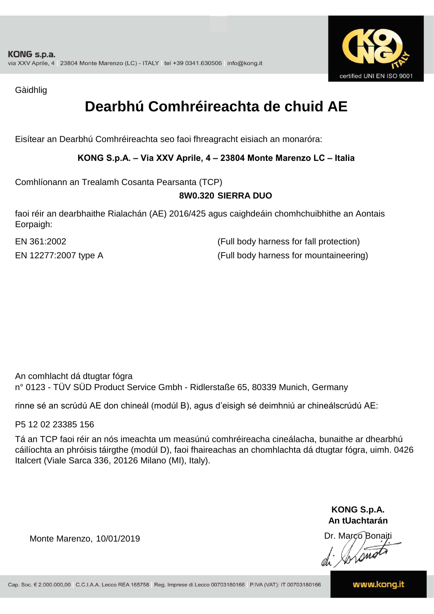![](_page_15_Picture_1.jpeg)

Gàidhlig

## **Dearbhú Comhréireachta de chuid AE**

Eisítear an Dearbhú Comhréireachta seo faoi fhreagracht eisiach an monaróra:

### **KONG S.p.A. – Via XXV Aprile, 4 – 23804 Monte Marenzo LC – Italia**

Comhlíonann an Trealamh Cosanta Pearsanta (TCP)

### **8W0.320 SIERRA DUO**

faoi réir an dearbhaithe Rialachán (AE) 2016/425 agus caighdeáin chomhchuibhithe an Aontais Eorpaigh:

EN 12277:2007 type A (Full body harness for mountaineering) EN 361:2002 (Full body harness for fall protection)

An comhlacht dá dtugtar fógra n° 0123 - TÜV SÜD Product Service Gmbh - Ridlerstaße 65, 80339 Munich, Germany

rinne sé an scrúdú AE don chineál (modúl B), agus d'eisigh sé deimhniú ar chineálscrúdú AE:

P5 12 02 23385 156

Tá an TCP faoi réir an nós imeachta um measúnú comhréireacha cineálacha, bunaithe ar dhearbhú cáilíochta an phróisis táirgthe (modúl D), faoi fhaireachas an chomhlachta dá dtugtar fógra, uimh. 0426 Italcert (Viale Sarca 336, 20126 Milano (MI), Italy).

> **KONG S.p.A. An tUachtarán**

Dr. Marco Bonaiti di Stono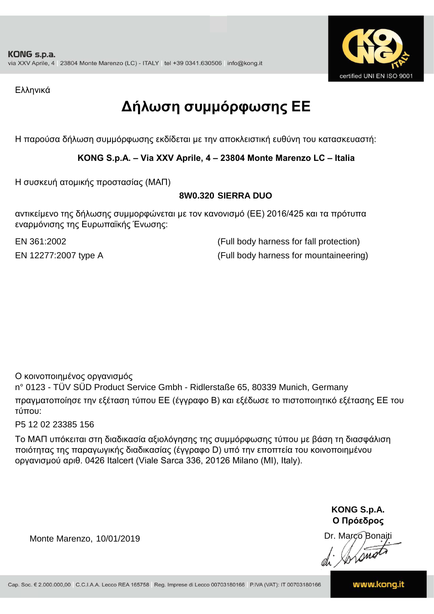![](_page_16_Picture_1.jpeg)

Ελληνικά

## **Δήλωση συμμόρφωσης ΕE**

Η παρούσα δήλωση συμμόρφωσης εκδίδεται με την αποκλειστική ευθύνη του κατασκευαστή:

### **KONG S.p.A. – Via XXV Aprile, 4 – 23804 Monte Marenzo LC – Italia**

Η συσκευή ατομικής προστασίας (ΜΑΠ)

### **8W0.320 SIERRA DUO**

αντικείμενο της δήλωσης συμμορφώνεται με τον κανονισμό (ΕΕ) 2016/425 και τα πρότυπα εναρμόνισης της Ευρωπαϊκής Ένωσης:

EN 361:2002 (Full body harness for fall protection) EN 12277:2007 type A (Full body harness for mountaineering)

Ο κοινοποιημένος οργανισμός

n° 0123 - TÜV SÜD Product Service Gmbh - Ridlerstaße 65, 80339 Munich, Germany πραγματοποίησε την εξέταση τύπου ΕΕ (έγγραφο Β) και εξέδωσε το πιστοποιητικό εξέτασης ΕΕ του τύπου:

P5 12 02 23385 156

Το ΜΑΠ υπόκειται στη διαδικασία αξιολόγησης της συμμόρφωσης τύπου με βάση τη διασφάλιση ποιότητας της παραγωγικής διαδικασίας (έγγραφο D) υπό την εποπτεία του κοινοποιημένου οργανισμού αριθ. 0426 Italcert (Viale Sarca 336, 20126 Milano (MI), Italy).

> **KONG S.p.A. Ο Πρόεδρος**

Dr. Marco Bonaiti di Stonom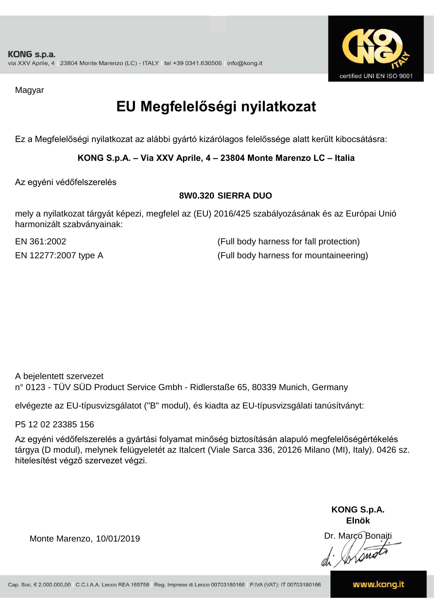![](_page_17_Picture_1.jpeg)

Magyar

## **EU Megfelelőségi nyilatkozat**

Ez a Megfelelőségi nyilatkozat az alábbi gyártó kizárólagos felelőssége alatt került kibocsátásra:

**KONG S.p.A. – Via XXV Aprile, 4 – 23804 Monte Marenzo LC – Italia**

Az egyéni védőfelszerelés

### **8W0.320 SIERRA DUO**

mely a nyilatkozat tárgyát képezi, megfelel az (EU) 2016/425 szabályozásának és az Európai Unió harmonizált szabványainak:

EN 12277:2007 type A (Full body harness for mountaineering) EN 361:2002 (Full body harness for fall protection)

A bejelentett szervezet n° 0123 - TÜV SÜD Product Service Gmbh - Ridlerstaße 65, 80339 Munich, Germany

elvégezte az EU-típusvizsgálatot ("B" modul), és kiadta az EU-típusvizsgálati tanúsítványt:

P5 12 02 23385 156

Az egyéni védőfelszerelés a gyártási folyamat minőség biztosításán alapuló megfelelőségértékelés tárgya (D modul), melynek felügyeletét az Italcert (Viale Sarca 336, 20126 Milano (MI), Italy). 0426 sz. hitelesítést végző szervezet végzi.

> **KONG S.p.A. Elnök**

Dr. Marco Bonaiti di Aromor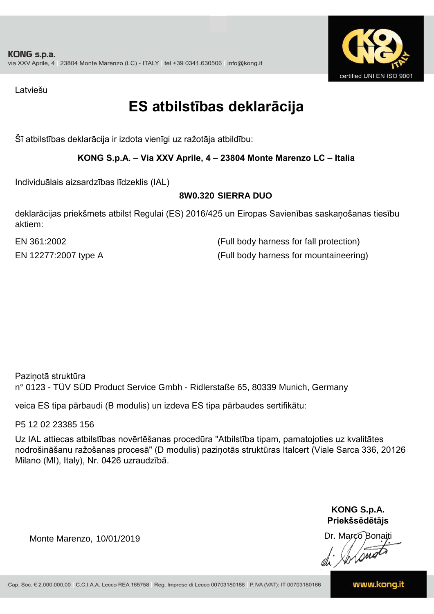![](_page_18_Picture_1.jpeg)

Latviešu

## **ES atbilstības deklarācija**

Šī atbilstības deklarācija ir izdota vienīgi uz ražotāja atbildību:

### **KONG S.p.A. – Via XXV Aprile, 4 – 23804 Monte Marenzo LC – Italia**

Individuālais aizsardzības līdzeklis (IAL)

### **8W0.320 SIERRA DUO**

deklarācijas priekšmets atbilst Regulai (ES) 2016/425 un Eiropas Savienības saskaņošanas tiesību aktiem:

EN 361:2002 (Full body harness for fall protection) EN 12277:2007 type A (Full body harness for mountaineering)

Paziņotā struktūra n° 0123 - TÜV SÜD Product Service Gmbh - Ridlerstaße 65, 80339 Munich, Germany

veica ES tipa pārbaudi (B modulis) un izdeva ES tipa pārbaudes sertifikātu:

P5 12 02 23385 156

Uz IAL attiecas atbilstības novērtēšanas procedūra "Atbilstība tipam, pamatojoties uz kvalitātes nodrošināšanu ražošanas procesā" (D modulis) paziņotās struktūras Italcert (Viale Sarca 336, 20126 Milano (MI), Italy), Nr. 0426 uzraudzībā.

> **KONG S.p.A. Priekšsēdētājs**

Dr. Marco Bonaiti

Monte Marenzo, 10/01/2019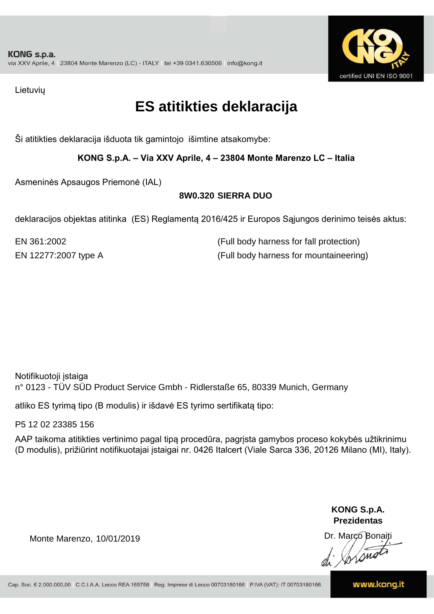![](_page_19_Picture_1.jpeg)

Lietuvių

## **ES atitikties deklaracija**

Ši atitikties deklaracija išduota tik gamintojo išimtine atsakomybe:

**KONG S.p.A. – Via XXV Aprile, 4 – 23804 Monte Marenzo LC – Italia**

Asmeninės Apsaugos Priemonė (IAL)

### **8W0.320 SIERRA DUO**

deklaracijos objektas atitinka (ES) Reglamentą 2016/425 ir Europos Sąjungos derinimo teisės aktus:

EN 12277:2007 type A (Full body harness for mountaineering) EN 361:2002 (Full body harness for fall protection)

Notifikuotoji įstaiga n° 0123 - TÜV SÜD Product Service Gmbh - Ridlerstaße 65, 80339 Munich, Germany

atliko ES tyrimą tipo (B modulis) ir išdavė ES tyrimo sertifikatą tipo:

P5 12 02 23385 156

AAP taikoma atitikties vertinimo pagal tipą procedūra, pagrįsta gamybos proceso kokybės užtikrinimu (D modulis), prižiūrint notifikuotajai įstaigai nr. 0426 Italcert (Viale Sarca 336, 20126 Milano (MI), Italy).

> **KONG S.p.A. Prezidentas**

Dr. Marco Bonaiti di Arono

Monte Marenzo, 10/01/2019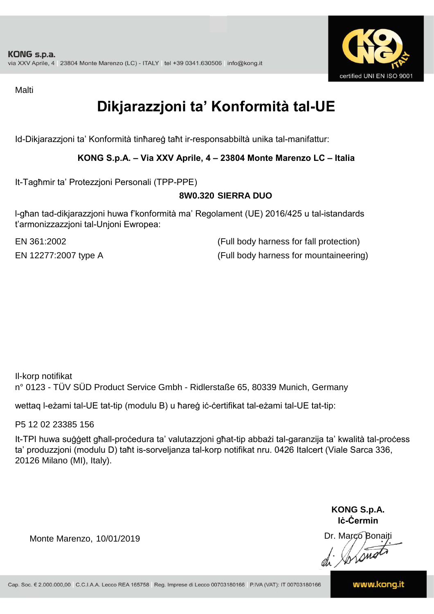![](_page_20_Picture_1.jpeg)

Malti

## **Dikjarazzjoni ta' Konformità tal-UE**

Id-Dikjarazzjoni ta' Konformità tinħareġ taħt ir-responsabbiltà unika tal-manifattur:

### **KONG S.p.A. – Via XXV Aprile, 4 – 23804 Monte Marenzo LC – Italia**

It-Tagħmir ta' Protezzjoni Personali (TPP-PPE)

### **8W0.320 SIERRA DUO**

l-għan tad-dikjarazzjoni huwa f'konformità ma' Regolament (UE) 2016/425 u tal-istandards t'armonizzazzjoni tal-Unjoni Ewropea:

EN 361:2002 (Full body harness for fall protection) EN 12277:2007 type A (Full body harness for mountaineering)

Il-korp notifikat n° 0123 - TÜV SÜD Product Service Gmbh - Ridlerstaße 65, 80339 Munich, Germany

wettaq l-eżami tal-UE tat-tip (modulu B) u ħareġ iċ-ċertifikat tal-eżami tal-UE tat-tip:

P5 12 02 23385 156

It-TPI huwa suġġett għall-proċedura ta' valutazzjoni għat-tip abbażi tal-garanzija ta' kwalità tal-proċess ta' produzzjoni (modulu D) taħt is-sorveljanza tal-korp notifikat nru. 0426 Italcert (Viale Sarca 336, 20126 Milano (MI), Italy).

> **KONG S.p.A. Iċ-Ċermin**

Dr. Marco Bonaiti di Stonom

Monte Marenzo, 10/01/2019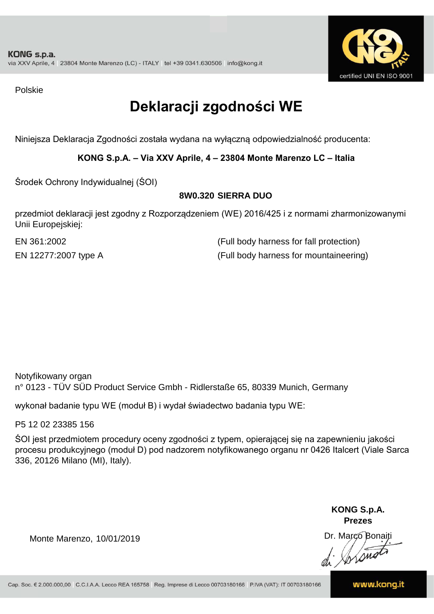![](_page_21_Picture_1.jpeg)

Polskie

## **Deklaracji zgodności WE**

Niniejsza Deklaracja Zgodności została wydana na wyłączną odpowiedzialność producenta:

**KONG S.p.A. – Via XXV Aprile, 4 – 23804 Monte Marenzo LC – Italia**

Środek Ochrony Indywidualnej (ŚOI)

### **8W0.320 SIERRA DUO**

przedmiot deklaracji jest zgodny z Rozporządzeniem (WE) 2016/425 i z normami zharmonizowanymi Unii Europejskiej:

EN 12277:2007 type A (Full body harness for mountaineering) EN 361:2002 (Full body harness for fall protection)

Notyfikowany organ n° 0123 - TÜV SÜD Product Service Gmbh - Ridlerstaße 65, 80339 Munich, Germany

wykonał badanie typu WE (moduł B) i wydał świadectwo badania typu WE:

P5 12 02 23385 156

ŚOI jest przedmiotem procedury oceny zgodności z typem, opierającej się na zapewnieniu jakości procesu produkcyjnego (moduł D) pod nadzorem notyfikowanego organu nr 0426 Italcert (Viale Sarca 336, 20126 Milano (MI), Italy).

> **KONG S.p.A. Prezes**

Dr. Marco Bonaiti di Arono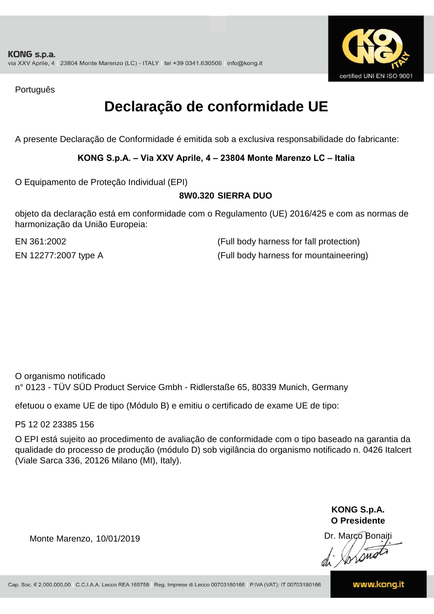![](_page_22_Picture_1.jpeg)

Português

## **Declaração de conformidade UE**

A presente Declaração de Conformidade é emitida sob a exclusiva responsabilidade do fabricante:

**KONG S.p.A. – Via XXV Aprile, 4 – 23804 Monte Marenzo LC – Italia**

O Equipamento de Proteção Individual (EPI)

### **8W0.320 SIERRA DUO**

objeto da declaração está em conformidade com o Regulamento (UE) 2016/425 e com as normas de harmonização da União Europeia:

EN 361:2002 (Full body harness for fall protection) EN 12277:2007 type A (Full body harness for mountaineering)

O organismo notificado n° 0123 - TÜV SÜD Product Service Gmbh - Ridlerstaße 65, 80339 Munich, Germany

efetuou o exame UE de tipo (Módulo B) e emitiu o certificado de exame UE de tipo:

P5 12 02 23385 156

O EPI está sujeito ao procedimento de avaliação de conformidade com o tipo baseado na garantia da qualidade do processo de produção (módulo D) sob vigilância do organismo notificado n. 0426 Italcert (Viale Sarca 336, 20126 Milano (MI), Italy).

> **KONG S.p.A. O Presidente**

Dr. Marco Bonaiti di Aromo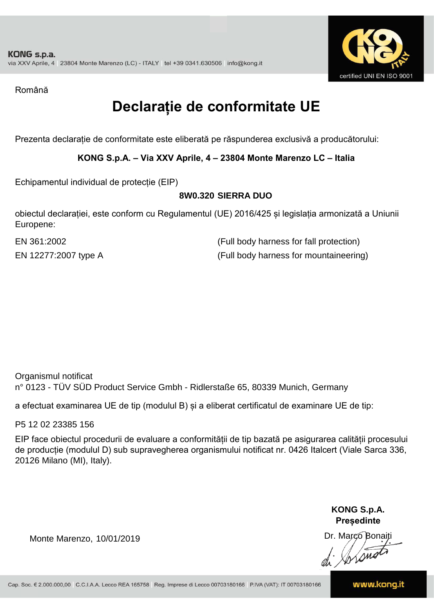![](_page_23_Picture_1.jpeg)

Română

## **Declarație de conformitate UE**

Prezenta declarație de conformitate este eliberată pe răspunderea exclusivă a producătorului:

**KONG S.p.A. – Via XXV Aprile, 4 – 23804 Monte Marenzo LC – Italia**

Echipamentul individual de protecție (EIP)

### **8W0.320 SIERRA DUO**

obiectul declarației, este conform cu Regulamentul (UE) 2016/425 și legislația armonizată a Uniunii Europene:

EN 12277:2007 type A (Full body harness for mountaineering) EN 361:2002 (Full body harness for fall protection)

Organismul notificat n° 0123 - TÜV SÜD Product Service Gmbh - Ridlerstaße 65, 80339 Munich, Germany

a efectuat examinarea UE de tip (modulul B) și a eliberat certificatul de examinare UE de tip:

P5 12 02 23385 156

EIP face obiectul procedurii de evaluare a conformității de tip bazată pe asigurarea calității procesului de producție (modulul D) sub supravegherea organismului notificat nr. 0426 Italcert (Viale Sarca 336, 20126 Milano (MI), Italy).

> **KONG S.p.A. Președinte**

Dr. Marco Bonaiti di Stonom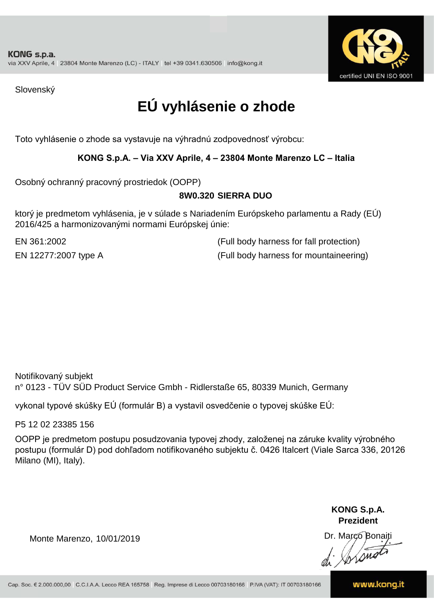![](_page_24_Picture_1.jpeg)

Slovenský

## **EÚ vyhlásenie o zhode**

Toto vyhlásenie o zhode sa vystavuje na výhradnú zodpovednosť výrobcu:

### **KONG S.p.A. – Via XXV Aprile, 4 – 23804 Monte Marenzo LC – Italia**

Osobný ochranný pracovný prostriedok (OOPP)

### **8W0.320 SIERRA DUO**

ktorý je predmetom vyhlásenia, je v súlade s Nariadením Európskeho parlamentu a Rady (EÚ) 2016/425 a harmonizovanými normami Európskej únie:

EN 361:2002 (Full body harness for fall protection) EN 12277:2007 type A (Full body harness for mountaineering)

Notifikovaný subjekt n° 0123 - TÜV SÜD Product Service Gmbh - Ridlerstaße 65, 80339 Munich, Germany

vykonal typové skúšky EÚ (formulár B) a vystavil osvedčenie o typovej skúške EÚ:

P5 12 02 23385 156

OOPP je predmetom postupu posudzovania typovej zhody, založenej na záruke kvality výrobného postupu (formulár D) pod dohľadom notifikovaného subjektu č. 0426 Italcert (Viale Sarca 336, 20126 Milano (MI), Italy).

> **KONG S.p.A. Prezident**

Dr. Marco Bonaiti di Arono

Monte Marenzo, 10/01/2019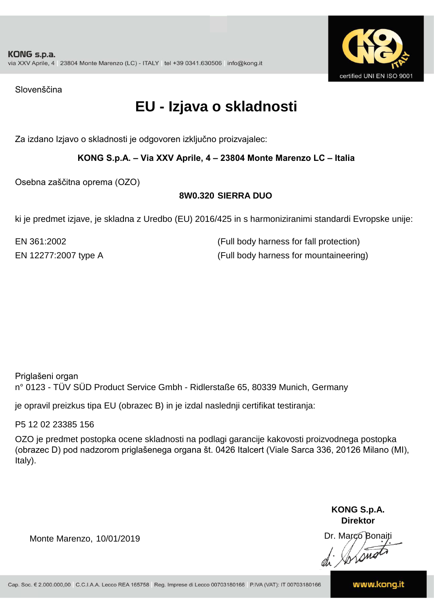![](_page_25_Picture_1.jpeg)

Slovenščina

## **EU - Izjava o skladnosti**

Za izdano Izjavo o skladnosti je odgovoren izključno proizvajalec:

### **KONG S.p.A. – Via XXV Aprile, 4 – 23804 Monte Marenzo LC – Italia**

Osebna zaščitna oprema (OZO)

### **8W0.320 SIERRA DUO**

ki je predmet izjave, je skladna z Uredbo (EU) 2016/425 in s harmoniziranimi standardi Evropske unije:

EN 12277:2007 type A (Full body harness for mountaineering) EN 361:2002 (Full body harness for fall protection)

Priglašeni organ n° 0123 - TÜV SÜD Product Service Gmbh - Ridlerstaße 65, 80339 Munich, Germany

je opravil preizkus tipa EU (obrazec B) in je izdal naslednji certifikat testiranja:

P5 12 02 23385 156

OZO je predmet postopka ocene skladnosti na podlagi garancije kakovosti proizvodnega postopka (obrazec D) pod nadzorom priglašenega organa št. 0426 Italcert (Viale Sarca 336, 20126 Milano (MI), Italy).

> **KONG S.p.A. Direktor**

Dr. Marco Bonaiti di Stonom

Monte Marenzo, 10/01/2019